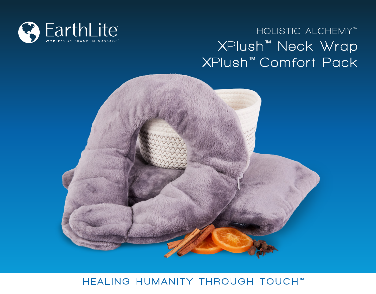

# **XPlush ™ Neck Wrap XPlush ™ Comfort Pack HOLISTIC ALCHEMY ™**



#### HEALING HUMANITY THROUGH TOUCH™